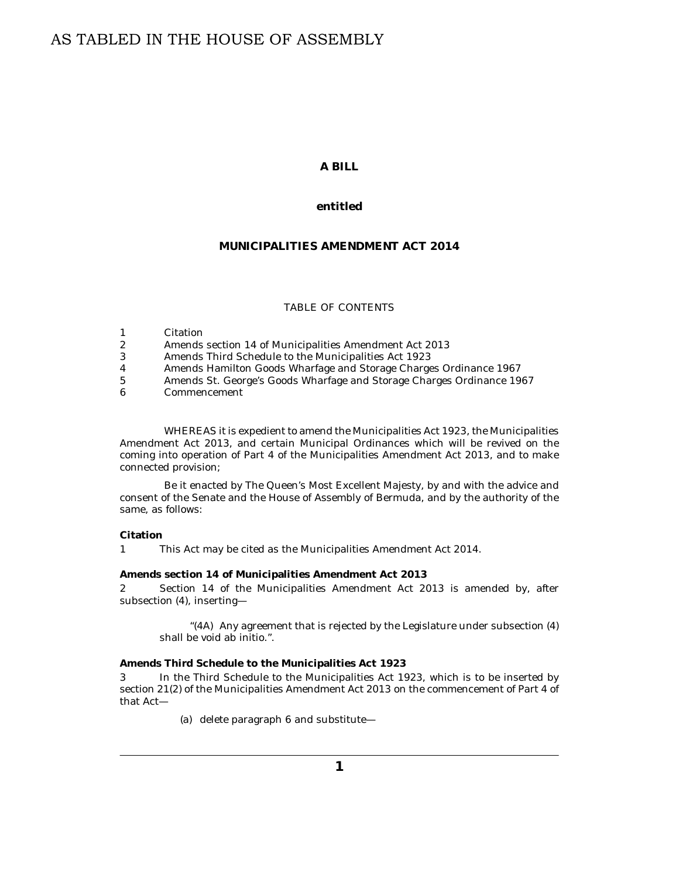# **A BILL**

## **entitled**

# **MUNICIPALITIES AMENDMENT ACT 2014**

### TABLE OF CONTENTS

- Citation 1
- Amends section 14 of Municipalities Amendment Act 2013 2
- Amends Third Schedule to the Municipalities Act 1923 3
- [Amends Hamilton Goods Wharfage and Storage Charges Ordinance 1967](#page-1-0) 4
- [Amends St. George's Goods Wharfage and Storage Charges Ordinance 1967](#page-1-0) 5
- [Commencement](#page-1-0) 6

WHEREAS it is expedient to amend the Municipalities Act 1923, the Municipalities Amendment Act 2013, and certain Municipal Ordinances which will be revived on the coming into operation of Part 4 of the Municipalities Amendment Act 2013, and to make connected provision;

Be it enacted by The Queen's Most Excellent Majesty, by and with the advice and consent of the Senate and the House of Assembly of Bermuda, and by the authority of the same, as follows:

### **Citation**

This Act may be cited as the Municipalities Amendment Act 2014. 1

**Amends section 14 of Municipalities Amendment Act 2013**

Section 14 of the Municipalities Amendment Act 2013 is amended by, after subsection (4), inserting— 2

" $(4A)$  Any agreement that is rejected by the Legislature under subsection  $(4)$ shall be void ab initio.".

**Amends Third Schedule to the Municipalities Act 1923**

In the Third Schedule to the Municipalities Act 1923, which is to be inserted by section 21(2) of the Municipalities Amendment Act 2013 on the commencement of Part 4 of that Act— 3

(a) delete paragraph 6 and substitute—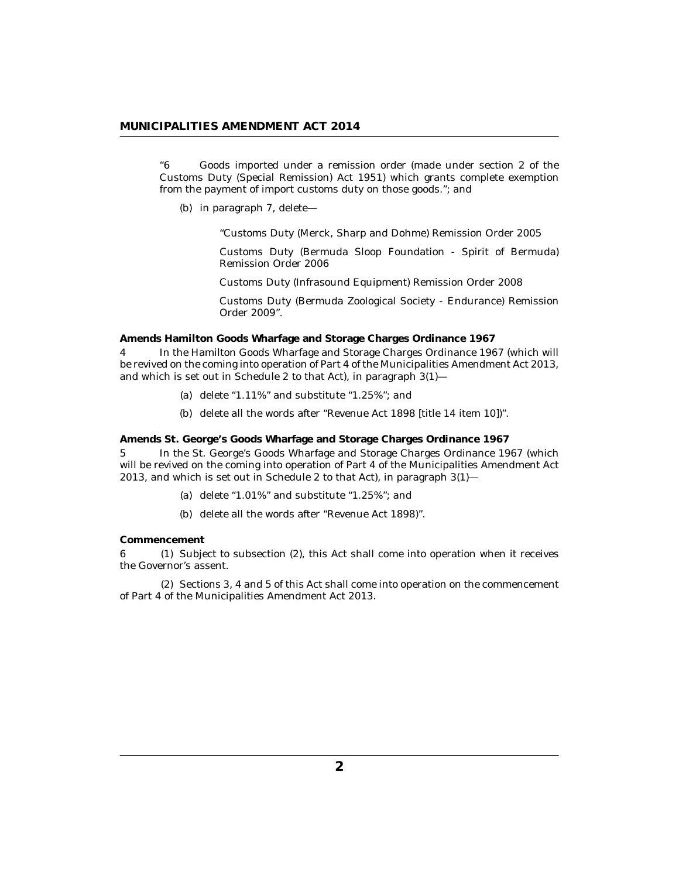## <span id="page-1-0"></span>**MUNICIPALITIES AMENDMENT ACT 2014**

Goods imported under a remission order (made under section 2 of the Customs Duty (Special Remission) Act 1951) which grants complete exemption from the payment of import customs duty on those goods."; and "6

(b) in paragraph 7, delete-

"Customs Duty (Merck, Sharp and Dohme) Remission Order 2005

Customs Duty (Bermuda Sloop Foundation - Spirit of Bermuda) Remission Order 2006

Customs Duty (Infrasound Equipment) Remission Order 2008

Customs Duty (Bermuda Zoological Society - Endurance) Remission Order 2009".

**Amends Hamilton Goods Wharfage and Storage Charges Ordinance 1967**

In the Hamilton Goods Wharfage and Storage Charges Ordinance 1967 (which will be revived on the coming into operation of Part 4 of the Municipalities Amendment Act 2013, and which is set out in Schedule 2 to that Act), in paragraph 3(1)— 4

- (a) delete " $1.11\%$ " and substitute " $1.25\%$ "; and
- (b) delete all the words after "Revenue Act 1898 [title 14 item 10])".

**Amends St. George's Goods Wharfage and Storage Charges Ordinance 1967**

In the St. George's Goods Wharfage and Storage Charges Ordinance 1967 (which will be revived on the coming into operation of Part 4 of the Municipalities Amendment Act 2013, and which is set out in Schedule 2 to that Act), in paragraph 3(1)— 5

- (a) delete " $1.01\%$ " and substitute " $1.25\%$ "; and
- (b) delete all the words after "Revenue Act 1898)".

### **Commencement**

6 (1) Subject to subsection (2), this Act shall come into operation when it receives the Governor's assent.

 $(2)$  Sections 3, 4 and 5 of this Act shall come into operation on the commencement of Part 4 of the Municipalities Amendment Act 2013.